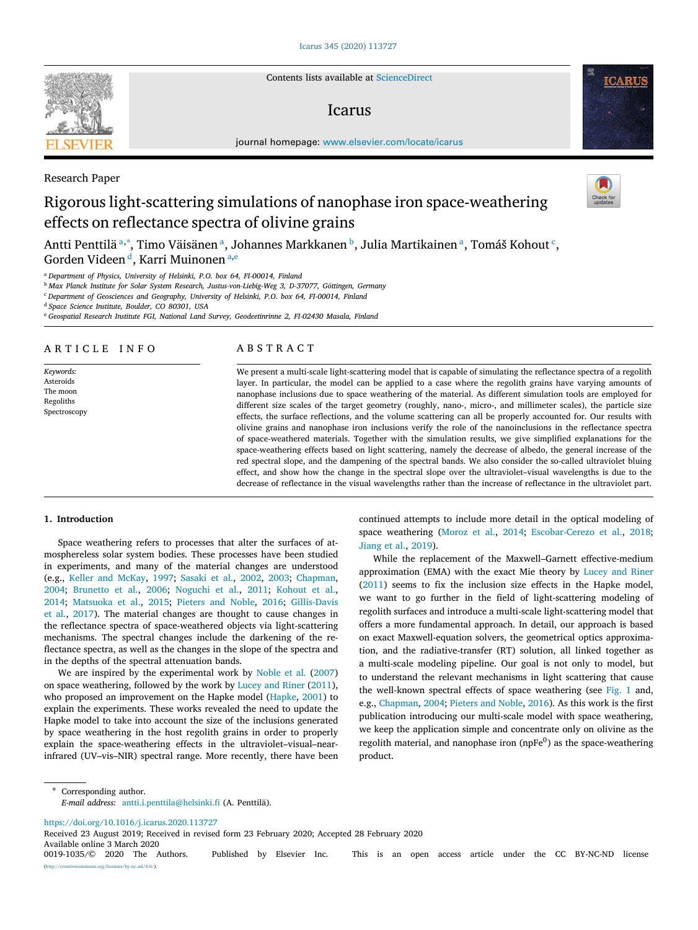Contents lists available at [ScienceDirect](http://www.elsevier.com/locate/icarus)

# Icarus

journal homepage: [www.elsevier.com/locate/icarus](http://www.elsevier.com/locate/icarus)

# Rigorous light-scattering simulations of nanophase iron space-weathering effects on reflectance spectra of olivine grains

Antti Penttilä ª,\*, Timo Väisänen ª, Joh[a](#page-0-0)nnes Markkanen ♭, Julia Martikainen ª, Tomáš Kohout <sup>[c](#page-0-3)</sup>, Gor[d](#page-0-4)en Videen <sup>d</sup>, K[a](#page-0-0)rri Muinon[e](#page-0-5)n <sup>a,e</sup>

<span id="page-0-0"></span><sup>a</sup> *Department of Physics, University of Helsinki, P.O. box 64, FI-00014, Finland*

<span id="page-0-2"></span><sup>b</sup> *Max Planck Institute for Solar System Research, Justus-von-Liebig-Weg 3, D-37077, Göttingen, Germany*

<span id="page-0-3"></span><sup>c</sup> *Department of Geosciences and Geography, University of Helsinki, P.O. box 64, FI-00014, Finland*

<span id="page-0-4"></span><sup>d</sup> *Space Science Institute, Boulder, CO 80301, USA*

<span id="page-0-5"></span><sup>e</sup> *Geospatial Research Institute FGI, National Land Survey, Geodeetinrinne 2, FI-02430 Masala, Finland*

# ARTICLE INFO

*Keywords:* Asteroids The moon Regoliths Spectroscopy

# A B S T R A C T

We present a multi-scale light-scattering model that is capable of simulating the reflectance spectra of a regolith layer. In particular, the model can be applied to a case where the regolith grains have varying amounts of nanophase inclusions due to space weathering of the material. As different simulation tools are employed for different size scales of the target geometry (roughly, nano-, micro-, and millimeter scales), the particle size effects, the surface reflections, and the volume scattering can all be properly accounted for. Our results with olivine grains and nanophase iron inclusions verify the role of the nanoinclusions in the reflectance spectra of space-weathered materials. Together with the simulation results, we give simplified explanations for the space-weathering effects based on light scattering, namely the decrease of albedo, the general increase of the red spectral slope, and the dampening of the spectral bands. We also consider the so-called ultraviolet bluing effect, and show how the change in the spectral slope over the ultraviolet–visual wavelengths is due to the decrease of reflectance in the visual wavelengths rather than the increase of reflectance in the ultraviolet part.

# **1. Introduction**

Space weathering refers to processes that alter the surfaces of atmosphereless solar system bodies. These processes have been studied in experiments, and many of the material changes are understood (e.g., [Keller and McKay](#page-7-0), [1997](#page-7-0); [Sasaki et al.](#page-7-1), [2002](#page-7-1), [2003](#page-7-2); [Chapman](#page-7-3), [2004;](#page-7-3) [Brunetto et al.,](#page-7-4) [2006;](#page-7-4) [Noguchi et al.](#page-7-5), [2011](#page-7-5); [Kohout et al.](#page-7-6), [2014;](#page-7-6) [Matsuoka et al.](#page-7-7), [2015;](#page-7-7) [Pieters and Noble](#page-7-8), [2016;](#page-7-8) [Gillis-Davis](#page-7-9) [et al.](#page-7-9), [2017](#page-7-9)). The material changes are thought to cause changes in the reflectance spectra of space-weathered objects via light-scattering mechanisms. The spectral changes include the darkening of the reflectance spectra, as well as the changes in the slope of the spectra and in the depths of the spectral attenuation bands.

We are inspired by the experimental work by [Noble et al.](#page-7-10) ([2007\)](#page-7-10) on space weathering, followed by the work by [Lucey and Riner](#page-7-11) [\(2011](#page-7-11)), who proposed an improvement on the Hapke model [\(Hapke,](#page-7-12) [2001\)](#page-7-12) to explain the experiments. These works revealed the need to update the Hapke model to take into account the size of the inclusions generated by space weathering in the host regolith grains in order to properly explain the space-weathering effects in the ultraviolet–visual–nearinfrared (UV–vis–NIR) spectral range. More recently, there have been

continued attempts to include more detail in the optical modeling of space weathering ([Moroz et al.,](#page-7-13) [2014](#page-7-13); [Escobar-Cerezo et al.](#page-7-14), [2018](#page-7-14); [Jiang et al.](#page-7-15), [2019](#page-7-15)).

While the replacement of the Maxwell–Garnett effective-medium approximation (EMA) with the exact Mie theory by [Lucey and Riner](#page-7-11) ([2011\)](#page-7-11) seems to fix the inclusion size effects in the Hapke model, we want to go further in the field of light-scattering modeling of regolith surfaces and introduce a multi-scale light-scattering model that offers a more fundamental approach. In detail, our approach is based on exact Maxwell-equation solvers, the geometrical optics approximation, and the radiative-transfer (RT) solution, all linked together as a multi-scale modeling pipeline. Our goal is not only to model, but to understand the relevant mechanisms in light scattering that cause the well-known spectral effects of space weathering (see [Fig.](#page-1-0) [1](#page-1-0) and, e.g., [Chapman](#page-7-3), [2004;](#page-7-3) [Pieters and Noble](#page-7-8), [2016\)](#page-7-8). As this work is the first publication introducing our multi-scale model with space weathering, we keep the application simple and concentrate only on olivine as the regolith material, and nanophase iron (npFe<sup>0</sup>) as the space-weathering product.

<span id="page-0-1"></span>Corresponding author. *E-mail address:* [antti.i.penttila@helsinki.fi](mailto:antti.i.penttila@helsinki.fi) (A. Penttilä).

<https://doi.org/10.1016/j.icarus.2020.113727>

ses/by-nc-nd/4.0/).

Available online 3 March 2020<br>0019-1035/© 2020 The Authors. Published by Elsevier Inc. This is an open access article under the CC BY-NC-ND license Received 23 August 2019; Received in revised form 23 February 2020; Accepted 28 February 2020



Research Paper



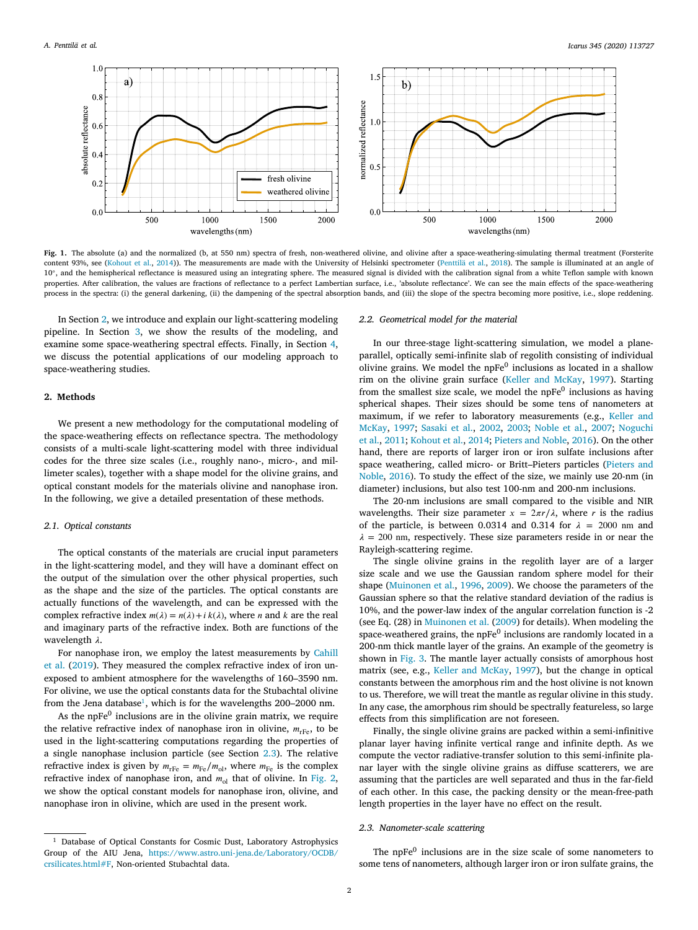

<span id="page-1-0"></span>Fig. 1. The absolute (a) and the normalized (b, at 550 nm) spectra of fresh, non-weathered olivine, and olivine after a space-weathering-simulating thermal treatment (Forsterite content 93%, see ([Kohout et al.](#page-7-6), [2014\)](#page-7-6)). The measurements are made with the University of Helsinki spectrometer ([Penttilä et al.,](#page-7-16) [2018](#page-7-16)). The sample is illuminated at an angle of 10◦ , and the hemispherical reflectance is measured using an integrating sphere. The measured signal is divided with the calibration signal from a white Teflon sample with known properties. After calibration, the values are fractions of reflectance to a perfect Lambertian surface, i.e., 'absolute reflectance'. We can see the main effects of the space-weathering process in the spectra: (i) the general darkening, (ii) the dampening of the spectral absorption bands, and (iii) the slope of the spectra becoming more positive, i.e., slope reddening.

In Section [2,](#page-1-1) we introduce and explain our light-scattering modeling pipeline. In Section [3,](#page-3-0) we show the results of the modeling, and examine some space-weathering spectral effects. Finally, in Section [4](#page-6-0), we discuss the potential applications of our modeling approach to space-weathering studies.

### **2. Methods**

<span id="page-1-1"></span>We present a new methodology for the computational modeling of the space-weathering effects on reflectance spectra. The methodology consists of a multi-scale light-scattering model with three individual codes for the three size scales (i.e., roughly nano-, micro-, and millimeter scales), together with a shape model for the olivine grains, and optical constant models for the materials olivine and nanophase iron. In the following, we give a detailed presentation of these methods.

#### *2.1. Optical constants*

<span id="page-1-5"></span>The optical constants of the materials are crucial input parameters in the light-scattering model, and they will have a dominant effect on the output of the simulation over the other physical properties, such as the shape and the size of the particles. The optical constants are actually functions of the wavelength, and can be expressed with the complex refractive index  $m(\lambda) = n(\lambda) + i k(\lambda)$ , where *n* and *k* are the real and imaginary parts of the refractive index. Both are functions of the wavelength  $\lambda$ .

For nanophase iron, we employ the latest measurements by [Cahill](#page-7-17) [et al.](#page-7-17) ([2019](#page-7-17)). They measured the complex refractive index of iron unexposed to ambient atmosphere for the wavelengths of 160–3590 nm. For olivine, we use the optical constants data for the Stubachtal olivine from the Jena database<sup>[1](#page-1-2)</sup>, which is for the wavelengths 200-2000 nm.

<span id="page-1-2"></span>As the npFe<sup>0</sup> inclusions are in the olivine grain matrix, we require the relative refractive index of nanophase iron in olivine,  $m_{\text{rFe}}$ , to be used in the light-scattering computations regarding the properties of a single nanophase inclusion particle (see Section [2.3\)](#page-1-3). The relative refractive index is given by  $m_{\text{rFe}} = m_{\text{Fe}}/m_{\text{o}l}$ , where  $m_{\text{Fe}}$  is the complex refractive index of nanophase iron, and  $m_{ol}$  that of olivine. In [Fig.](#page-2-0) [2](#page-2-0), we show the optical constant models for nanophase iron, olivine, and nanophase iron in olivine, which are used in the present work.

#### *2.2. Geometrical model for the material*

<span id="page-1-4"></span>In our three-stage light-scattering simulation, we model a planeparallel, optically semi-infinite slab of regolith consisting of individual olivine grains. We model the npFe<sup>0</sup> inclusions as located in a shallow rim on the olivine grain surface ([Keller and McKay,](#page-7-0) [1997\)](#page-7-0). Starting from the smallest size scale, we model the  $n$ PFe $<sup>0</sup>$  inclusions as having</sup> spherical shapes. Their sizes should be some tens of nanometers at maximum, if we refer to laboratory measurements (e.g., [Keller and](#page-7-0) [McKay,](#page-7-0) [1997](#page-7-0); [Sasaki et al.,](#page-7-1) [2002](#page-7-1), [2003;](#page-7-2) [Noble et al.,](#page-7-10) [2007;](#page-7-10) [Noguchi](#page-7-5) [et al.,](#page-7-5) [2011](#page-7-5); [Kohout et al.](#page-7-6), [2014;](#page-7-6) [Pieters and Noble,](#page-7-8) [2016\)](#page-7-8). On the other hand, there are reports of larger iron or iron sulfate inclusions after space weathering, called micro- or Britt–Pieters particles ([Pieters and](#page-7-8) [Noble](#page-7-8), [2016](#page-7-8)). To study the effect of the size, we mainly use 20-nm (in diameter) inclusions, but also test 100-nm and 200-nm inclusions.

The 20-nm inclusions are small compared to the visible and NIR wavelengths. Their size parameter  $x = 2\pi r/\lambda$ , where r is the radius of the particle, is between 0.0314 and 0.314 for  $\lambda = 2000$  nm and  $\lambda = 200$  nm, respectively. These size parameters reside in or near the Rayleigh-scattering regime.

The single olivine grains in the regolith layer are of a larger size scale and we use the Gaussian random sphere model for their shape [\(Muinonen et al.](#page-7-18), [1996,](#page-7-18) [2009\)](#page-7-19). We choose the parameters of the Gaussian sphere so that the relative standard deviation of the radius is 10%, and the power-law index of the angular correlation function is -2 (see Eq. (28) in [Muinonen et al.](#page-7-19) ([2009\)](#page-7-19) for details). When modeling the space-weathered grains, the npFe<sup>0</sup> inclusions are randomly located in a 200-nm thick mantle layer of the grains. An example of the geometry is shown in [Fig.](#page-2-1) [3](#page-2-1). The mantle layer actually consists of amorphous host matrix (see, e.g., [Keller and McKay](#page-7-0), [1997\)](#page-7-0), but the change in optical constants between the amorphous rim and the host olivine is not known to us. Therefore, we will treat the mantle as regular olivine in this study. In any case, the amorphous rim should be spectrally featureless, so large effects from this simplification are not foreseen.

Finally, the single olivine grains are packed within a semi-infinitive planar layer having infinite vertical range and infinite depth. As we compute the vector radiative-transfer solution to this semi-infinite planar layer with the single olivine grains as diffuse scatterers, we are assuming that the particles are well separated and thus in the far-field of each other. In this case, the packing density or the mean-free-path length properties in the layer have no effect on the result.

## *2.3. Nanometer-scale scattering*

<span id="page-1-3"></span>The  $n$ <sub>PFe</sub><sup>0</sup> inclusions are in the size scale of some nanometers to some tens of nanometers, although larger iron or iron sulfate grains, the

<sup>&</sup>lt;sup>1</sup> Database of Optical Constants for Cosmic Dust, Laboratory Astrophysics Group of the AIU Jena, [https://www.astro.uni-jena.de/Laboratory/OCDB/](https://www.astro.uni-jena.de/Laboratory/OCDB/crsilicates.html#F) [crsilicates.html#F,](https://www.astro.uni-jena.de/Laboratory/OCDB/crsilicates.html#F) Non-oriented Stubachtal data.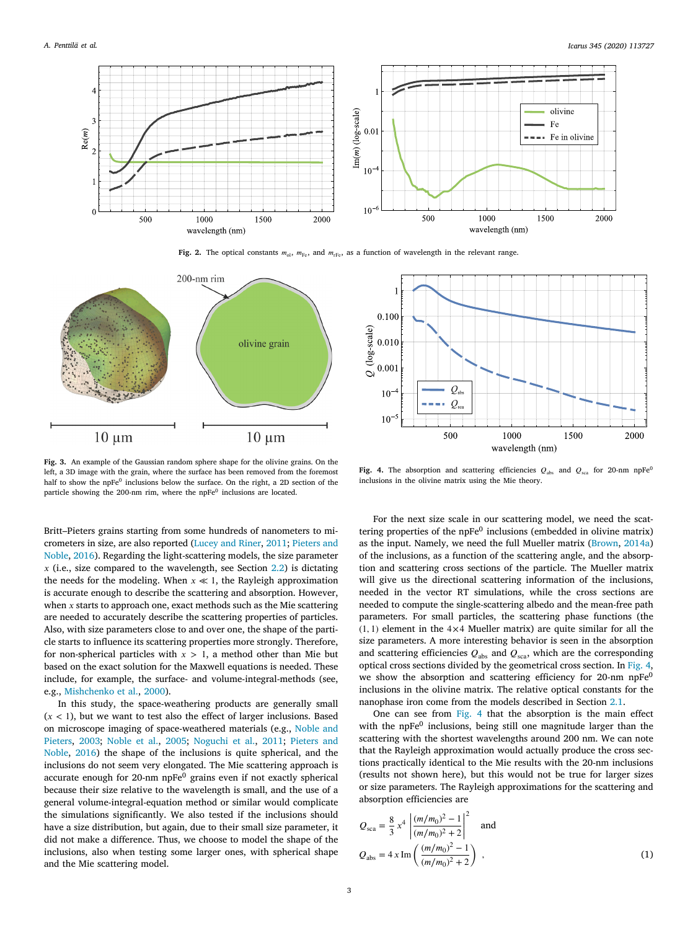

**Fig. 2.** The optical constants  $m_{ol}$ ,  $m_{Fe}$ , and  $m_{rFe}$ , as a function of wavelength in the relevant range.

<span id="page-2-0"></span>

<span id="page-2-1"></span>**Fig. 3.** An example of the Gaussian random sphere shape for the olivine grains. On the left, a 3D image with the grain, where the surface has been removed from the foremost half to show the npFe<sup>0</sup> inclusions below the surface. On the right, a 2D section of the particle showing the 200-nm rim, where the npFe<sup>0</sup> inclusions are located.

Britt–Pieters grains starting from some hundreds of nanometers to micrometers in size, are also reported ([Lucey and Riner,](#page-7-11) [2011](#page-7-11); [Pieters and](#page-7-8) [Noble](#page-7-8), [2016\)](#page-7-8). Regarding the light-scattering models, the size parameter  $x$  (i.e., size compared to the wavelength, see Section [2.2\)](#page-1-4) is dictating the needs for the modeling. When  $x \ll 1$ , the Rayleigh approximation is accurate enough to describe the scattering and absorption. However, when  $x$  starts to approach one, exact methods such as the Mie scattering are needed to accurately describe the scattering properties of particles. Also, with size parameters close to and over one, the shape of the particle starts to influence its scattering properties more strongly. Therefore, for non-spherical particles with  $x > 1$ , a method other than Mie but based on the exact solution for the Maxwell equations is needed. These include, for example, the surface- and volume-integral-methods (see, e.g., [Mishchenko et al.,](#page-7-20) [2000\)](#page-7-20).

In this study, the space-weathering products are generally small  $(x < 1)$ , but we want to test also the effect of larger inclusions. Based on microscope imaging of space-weathered materials (e.g., [Noble and](#page-7-21) [Pieters](#page-7-21), [2003](#page-7-21); [Noble et al.](#page-7-22), [2005](#page-7-22); [Noguchi et al.,](#page-7-5) [2011;](#page-7-5) [Pieters and](#page-7-8) [Noble](#page-7-8), [2016](#page-7-8)) the shape of the inclusions is quite spherical, and the inclusions do not seem very elongated. The Mie scattering approach is accurate enough for 20-nm  $n$ p $Fe<sup>0</sup>$  grains even if not exactly spherical because their size relative to the wavelength is small, and the use of a general volume-integral-equation method or similar would complicate the simulations significantly. We also tested if the inclusions should have a size distribution, but again, due to their small size parameter, it did not make a difference. Thus, we choose to model the shape of the inclusions, also when testing some larger ones, with spherical shape and the Mie scattering model.



<span id="page-2-2"></span>**Fig. 4.** The absorption and scattering efficiencies  $Q_{\text{abs}}$  and  $Q_{\text{sea}}$  for 20-nm npFe<sup>0</sup> inclusions in the olivine matrix using the Mie theory.

For the next size scale in our scattering model, we need the scattering properties of the npFe<sup>0</sup> inclusions (embedded in olivine matrix) as the input. Namely, we need the full Mueller matrix ([Brown,](#page-7-23) [2014a\)](#page-7-23) of the inclusions, as a function of the scattering angle, and the absorption and scattering cross sections of the particle. The Mueller matrix will give us the directional scattering information of the inclusions, needed in the vector RT simulations, while the cross sections are needed to compute the single-scattering albedo and the mean-free path parameters. For small particles, the scattering phase functions (the  $(1, 1)$  element in the  $4 \times 4$  Mueller matrix) are quite similar for all the size parameters. A more interesting behavior is seen in the absorption and scattering efficiencies  $Q_{\text{abs}}$  and  $Q_{\text{sea}}$ , which are the corresponding optical cross sections divided by the geometrical cross section. In [Fig.](#page-2-2) [4](#page-2-2), we show the absorption and scattering efficiency for 20-nm npFe<sup>0</sup> inclusions in the olivine matrix. The relative optical constants for the nanophase iron come from the models described in Section [2.1.](#page-1-5)

One can see from [Fig.](#page-2-2) [4](#page-2-2) that the absorption is the main effect with the npFe<sup>0</sup> inclusions, being still one magnitude larger than the scattering with the shortest wavelengths around 200 nm. We can note that the Rayleigh approximation would actually produce the cross sections practically identical to the Mie results with the 20-nm inclusions (results not shown here), but this would not be true for larger sizes or size parameters. The Rayleigh approximations for the scattering and absorption efficiencies are

<span id="page-2-3"></span>
$$
Q_{\rm sca} = \frac{8}{3} x^4 \left| \frac{(m/m_0)^2 - 1}{(m/m_0)^2 + 2} \right|^2
$$
 and  

$$
Q_{\rm abs} = 4 x \, \text{Im} \left( \frac{(m/m_0)^2 - 1}{(m/m_0)^2 + 2} \right) ,
$$
 (1)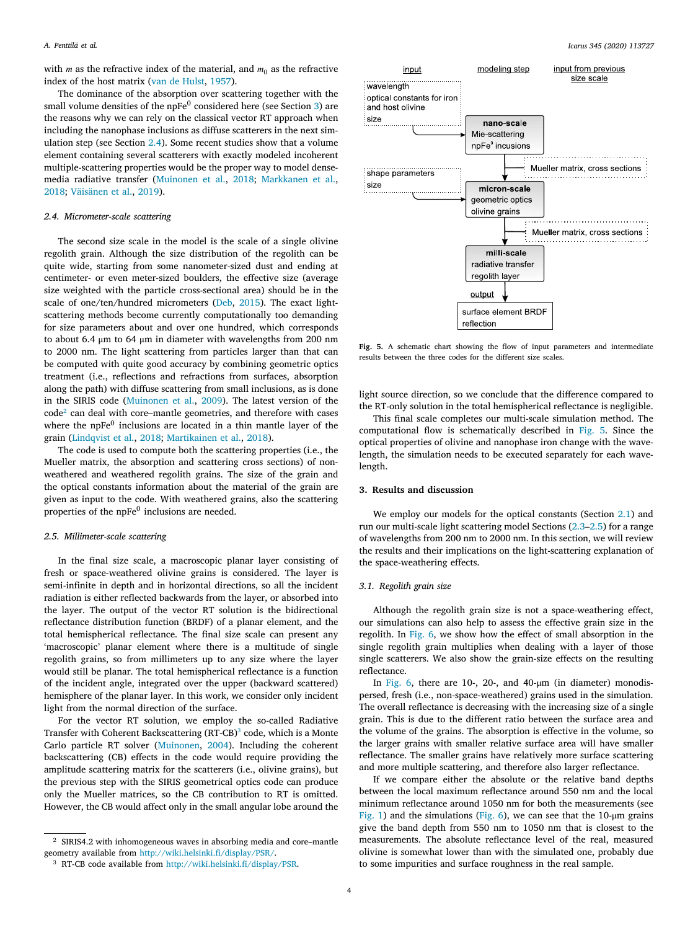with *m* as the refractive index of the material, and  $m_0$  as the refractive index of the host matrix [\(van de Hulst,](#page-7-24) [1957](#page-7-24)).

The dominance of the absorption over scattering together with the small volume densities of the  $n$ p $\rm Fe^0$  considered here (see Section [3](#page-3-0)) are the reasons why we can rely on the classical vector RT approach when including the nanophase inclusions as diffuse scatterers in the next simulation step (see Section [2.4\)](#page-3-1). Some recent studies show that a volume element containing several scatterers with exactly modeled incoherent multiple-scattering properties would be the proper way to model densemedia radiative transfer [\(Muinonen et al.,](#page-7-25) [2018;](#page-7-25) [Markkanen et al.](#page-7-26), [2018;](#page-7-26) [Väisänen et al.,](#page-7-27) [2019\)](#page-7-27).

# *2.4. Micrometer-scale scattering*

<span id="page-3-1"></span>The second size scale in the model is the scale of a single olivine regolith grain. Although the size distribution of the regolith can be quite wide, starting from some nanometer-sized dust and ending at centimeter- or even meter-sized boulders, the effective size (average size weighted with the particle cross-sectional area) should be in the scale of one/ten/hundred micrometers [\(Deb](#page-7-28), [2015\)](#page-7-28). The exact lightscattering methods become currently computationally too demanding for size parameters about and over one hundred, which corresponds to about 6.4 μm to 64 μm in diameter with wavelengths from 200 nm to 2000 nm. The light scattering from particles larger than that can be computed with quite good accuracy by combining geometric optics treatment (i.e., reflections and refractions from surfaces, absorption along the path) with diffuse scattering from small inclusions, as is done in the SIRIS code ([Muinonen et al.,](#page-7-19) [2009\)](#page-7-19). The latest version of the  $code^2$  $code^2$  can deal with core–mantle geometries, and therefore with cases where the  $n$ p $Fe<sup>0</sup>$  inclusions are located in a thin mantle layer of the grain ([Lindqvist et al.,](#page-7-29) [2018](#page-7-29); [Martikainen et al.,](#page-7-30) [2018\)](#page-7-30).

<span id="page-3-2"></span>The code is used to compute both the scattering properties (i.e., the Mueller matrix, the absorption and scattering cross sections) of nonweathered and weathered regolith grains. The size of the grain and the optical constants information about the material of the grain are given as input to the code. With weathered grains, also the scattering properties of the npFe $^0$  inclusions are needed.

#### *2.5. Millimeter-scale scattering*

<span id="page-3-5"></span>In the final size scale, a macroscopic planar layer consisting of fresh or space-weathered olivine grains is considered. The layer is semi-infinite in depth and in horizontal directions, so all the incident radiation is either reflected backwards from the layer, or absorbed into the layer. The output of the vector RT solution is the bidirectional reflectance distribution function (BRDF) of a planar element, and the total hemispherical reflectance. The final size scale can present any 'macroscopic' planar element where there is a multitude of single regolith grains, so from millimeters up to any size where the layer would still be planar. The total hemispherical reflectance is a function of the incident angle, integrated over the upper (backward scattered) hemisphere of the planar layer. In this work, we consider only incident light from the normal direction of the surface.

For the vector RT solution, we employ the so-called Radiative Transfer with Coherent Backscattering (RT-CB)<sup>[3](#page-3-3)</sup> code, which is a Monte Carlo particle RT solver ([Muinonen](#page-7-31), [2004\)](#page-7-31). Including the coherent backscattering (CB) effects in the code would require providing the amplitude scattering matrix for the scatterers (i.e., olivine grains), but the previous step with the SIRIS geometrical optics code can produce only the Mueller matrices, so the CB contribution to RT is omitted. However, the CB would affect only in the small angular lobe around the



<span id="page-3-4"></span>**Fig. 5.** A schematic chart showing the flow of input parameters and intermediate results between the three codes for the different size scales.

light source direction, so we conclude that the difference compared to the RT-only solution in the total hemispherical reflectance is negligible.

This final scale completes our multi-scale simulation method. The computational flow is schematically described in [Fig.](#page-3-4) [5.](#page-3-4) Since the optical properties of olivine and nanophase iron change with the wavelength, the simulation needs to be executed separately for each wavelength.

# **3. Results and discussion**

<span id="page-3-0"></span>We employ our models for the optical constants (Section [2.1\)](#page-1-5) and run our multi-scale light scattering model Sections [\(2.3](#page-1-3)[–2.5\)](#page-3-5) for a range of wavelengths from 200 nm to 2000 nm. In this section, we will review the results and their implications on the light-scattering explanation of the space-weathering effects.

# *3.1. Regolith grain size*

Although the regolith grain size is not a space-weathering effect, our simulations can also help to assess the effective grain size in the regolith. In [Fig.](#page-4-0) [6](#page-4-0), we show how the effect of small absorption in the single regolith grain multiplies when dealing with a layer of those single scatterers. We also show the grain-size effects on the resulting reflectance.

In [Fig.](#page-4-0) [6](#page-4-0), there are 10-, 20-, and 40-μm (in diameter) monodispersed, fresh (i.e., non-space-weathered) grains used in the simulation. The overall reflectance is decreasing with the increasing size of a single grain. This is due to the different ratio between the surface area and the volume of the grains. The absorption is effective in the volume, so the larger grains with smaller relative surface area will have smaller reflectance. The smaller grains have relatively more surface scattering and more multiple scattering, and therefore also larger reflectance.

<span id="page-3-3"></span>If we compare either the absolute or the relative band depths between the local maximum reflectance around 550 nm and the local minimum reflectance around 1050 nm for both the measurements (see [Fig.](#page-1-0) [1](#page-1-0)) and the simulations [\(Fig.](#page-4-0) [6\)](#page-4-0), we can see that the 10-μm grains give the band depth from 550 nm to 1050 nm that is closest to the measurements. The absolute reflectance level of the real, measured olivine is somewhat lower than with the simulated one, probably due to some impurities and surface roughness in the real sample.

<sup>2</sup> SIRIS4.2 with inhomogeneous waves in absorbing media and core–mantle geometry available from <http://wiki.helsinki.fi/display/PSR/>.

<sup>3</sup> RT-CB code available from <http://wiki.helsinki.fi/display/PSR>.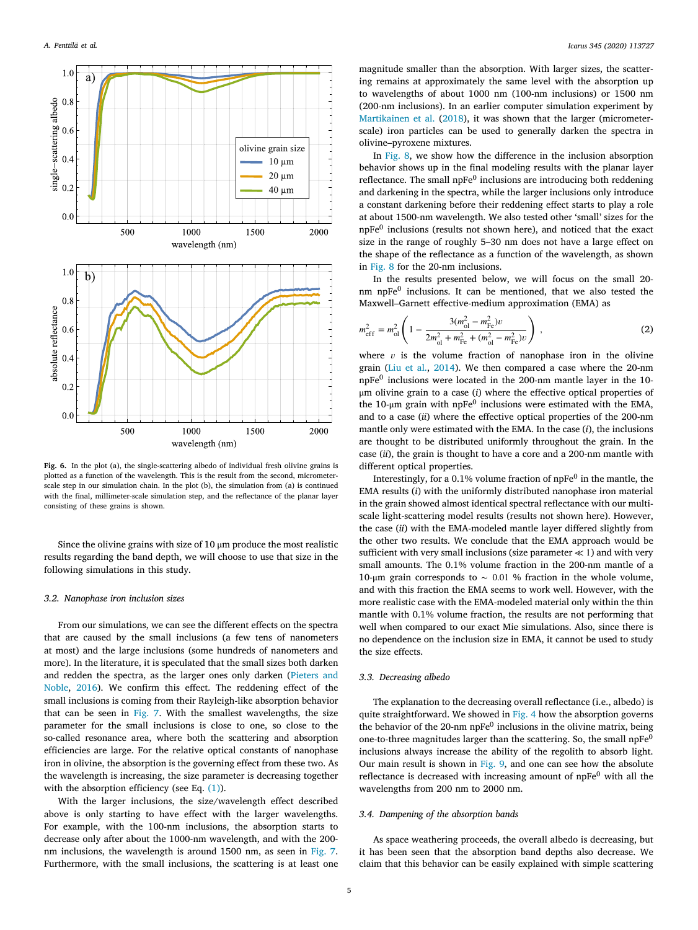

<span id="page-4-0"></span>**Fig. 6.** In the plot (a), the single-scattering albedo of individual fresh olivine grains is plotted as a function of the wavelength. This is the result from the second, micrometerscale step in our simulation chain. In the plot (b), the simulation from (a) is continued with the final, millimeter-scale simulation step, and the reflectance of the planar layer consisting of these grains is shown.

Since the olivine grains with size of 10 μm produce the most realistic results regarding the band depth, we will choose to use that size in the following simulations in this study.

# *3.2. Nanophase iron inclusion sizes*

<span id="page-4-1"></span>From our simulations, we can see the different effects on the spectra that are caused by the small inclusions (a few tens of nanometers at most) and the large inclusions (some hundreds of nanometers and more). In the literature, it is speculated that the small sizes both darken and redden the spectra, as the larger ones only darken ([Pieters and](#page-7-8) [Noble](#page-7-8), [2016](#page-7-8)). We confirm this effect. The reddening effect of the small inclusions is coming from their Rayleigh-like absorption behavior that can be seen in [Fig.](#page-5-0) [7.](#page-5-0) With the smallest wavelengths, the size parameter for the small inclusions is close to one, so close to the so-called resonance area, where both the scattering and absorption efficiencies are large. For the relative optical constants of nanophase iron in olivine, the absorption is the governing effect from these two. As the wavelength is increasing, the size parameter is decreasing together with the absorption efficiency (see Eq.  $(1)$ ).

With the larger inclusions, the size/wavelength effect described above is only starting to have effect with the larger wavelengths. For example, with the 100-nm inclusions, the absorption starts to decrease only after about the 1000-nm wavelength, and with the 200 nm inclusions, the wavelength is around 1500 nm, as seen in [Fig.](#page-5-0) [7](#page-5-0). Furthermore, with the small inclusions, the scattering is at least one

magnitude smaller than the absorption. With larger sizes, the scattering remains at approximately the same level with the absorption up to wavelengths of about 1000 nm (100-nm inclusions) or 1500 nm (200-nm inclusions). In an earlier computer simulation experiment by [Martikainen et al.](#page-7-30) ([2018\)](#page-7-30), it was shown that the larger (micrometerscale) iron particles can be used to generally darken the spectra in olivine–pyroxene mixtures.

In [Fig.](#page-5-1) [8,](#page-5-1) we show how the difference in the inclusion absorption behavior shows up in the final modeling results with the planar layer reflectance. The small  $n pFe<sup>0</sup>$  inclusions are introducing both reddening and darkening in the spectra, while the larger inclusions only introduce a constant darkening before their reddening effect starts to play a role at about 1500-nm wavelength. We also tested other 'small' sizes for the npFe<sup>0</sup> inclusions (results not shown here), and noticed that the exact size in the range of roughly 5–30 nm does not have a large effect on the shape of the reflectance as a function of the wavelength, as shown in [Fig.](#page-5-1) [8](#page-5-1) for the 20-nm inclusions.

In the results presented below, we will focus on the small 20 nm npFe<sup>0</sup> inclusions. It can be mentioned, that we also tested the Maxwell–Garnett effective-medium approximation (EMA) as

$$
m_{\text{eff}}^2 = m_{\text{ol}}^2 \left( 1 - \frac{3(m_{\text{ol}}^2 - m_{\text{Fe}}^2)v}{2m_{\text{ol}}^2 + m_{\text{Fe}}^2 + (m_{\text{ol}}^2 - m_{\text{Fe}}^2)v} \right) ,\tag{2}
$$

where  $v$  is the volume fraction of nanophase iron in the olivine grain [\(Liu et al.,](#page-7-32) [2014](#page-7-32)). We then compared a case where the 20-nm npFe<sup>0</sup> inclusions were located in the 200-nm mantle layer in the 10μm olivine grain to a case (*i*) where the effective optical properties of the 10-µm grain with npFe $^0$  inclusions were estimated with the EMA, and to a case (*ii*) where the effective optical properties of the 200-nm mantle only were estimated with the EMA. In the case (*i*), the inclusions are thought to be distributed uniformly throughout the grain. In the case (*ii*), the grain is thought to have a core and a 200-nm mantle with different optical properties.

Interestingly, for a 0.1% volume fraction of  $n p Fe<sup>0</sup>$  in the mantle, the EMA results (*i*) with the uniformly distributed nanophase iron material in the grain showed almost identical spectral reflectance with our multiscale light-scattering model results (results not shown here). However, the case (*ii*) with the EMA-modeled mantle layer differed slightly from the other two results. We conclude that the EMA approach would be sufficient with very small inclusions (size parameter *≪* 1) and with very small amounts. The 0.1% volume fraction in the 200-nm mantle of a 10-μm grain corresponds to  $\sim$  0.01 % fraction in the whole volume, and with this fraction the EMA seems to work well. However, with the more realistic case with the EMA-modeled material only within the thin mantle with 0.1% volume fraction, the results are not performing that well when compared to our exact Mie simulations. Also, since there is no dependence on the inclusion size in EMA, it cannot be used to study the size effects.

### *3.3. Decreasing albedo*

The explanation to the decreasing overall reflectance (i.e., albedo) is quite straightforward. We showed in [Fig.](#page-2-2) [4](#page-2-2) how the absorption governs the behavior of the  $20$ -nm np $Fe<sup>0</sup>$  inclusions in the olivine matrix, being one-to-three magnitudes larger than the scattering. So, the small npFe<sup>0</sup> inclusions always increase the ability of the regolith to absorb light. Our main result is shown in [Fig.](#page-6-1) [9,](#page-6-1) and one can see how the absolute reflectance is decreased with increasing amount of  $n$ pFe $^0$  with all the wavelengths from 200 nm to 2000 nm.

#### *3.4. Dampening of the absorption bands*

<span id="page-4-2"></span>As space weathering proceeds, the overall albedo is decreasing, but it has been seen that the absorption band depths also decrease. We claim that this behavior can be easily explained with simple scattering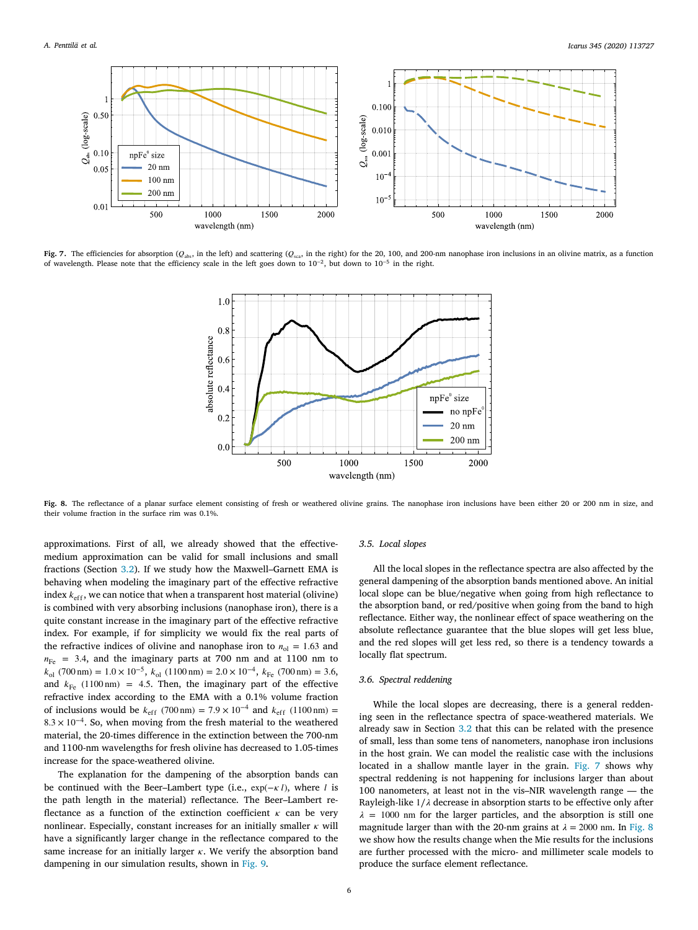

<span id="page-5-0"></span>**Fig. 7.** The efficiencies for absorption ( $Q_{\text{abs}}$ , in the left) and scattering ( $Q_{\text{exa}}$ , in the right) for the 20, 100, and 200-nm nanophase iron inclusions in an olivine matrix, as a function of wavelength. Please note that the efficiency scale in the left goes down to  $10^{-2}$ , but down to  $10^{-5}$  in the right.



<span id="page-5-1"></span>**Fig. 8.** The reflectance of a planar surface element consisting of fresh or weathered olivine grains. The nanophase iron inclusions have been either 20 or 200 nm in size, and their volume fraction in the surface rim was 0.1%.

approximations. First of all, we already showed that the effectivemedium approximation can be valid for small inclusions and small fractions (Section [3.2](#page-4-1)). If we study how the Maxwell–Garnett EMA is behaving when modeling the imaginary part of the effective refractive index  $k_{\text{eff}}$ , we can notice that when a transparent host material (olivine) is combined with very absorbing inclusions (nanophase iron), there is a quite constant increase in the imaginary part of the effective refractive index. For example, if for simplicity we would fix the real parts of the refractive indices of olivine and nanophase iron to  $n_{ol} = 1.63$  and  $n_{\text{Fe}}$  = 3.4, and the imaginary parts at 700 nm and at 1100 nm to  $k_{\text{ol}}$  (700 nm) = 1.0 × 10<sup>-5</sup>,  $k_{\text{ol}}$  (1100 nm) = 2.0 × 10<sup>-4</sup>,  $k_{\text{Fe}}$  (700 nm) = 3.6, and  $k_{\text{Fe}}$  (1100 nm) = 4.5. Then, the imaginary part of the effective refractive index according to the EMA with a 0.1% volume fraction of inclusions would be  $k_{\text{eff}}$  (700 nm) = 7.9 × 10<sup>-4</sup> and  $k_{\text{eff}}$  (1100 nm) = 8*.*3 × 10−4. So, when moving from the fresh material to the weathered material, the 20-times difference in the extinction between the 700-nm and 1100-nm wavelengths for fresh olivine has decreased to 1.05-times increase for the space-weathered olivine.

The explanation for the dampening of the absorption bands can be continued with the Beer–Lambert type (i.e.,  $exp(-\kappa l)$ , where *l* is the path length in the material) reflectance. The Beer–Lambert reflectance as a function of the extinction coefficient  $\kappa$  can be very nonlinear. Especially, constant increases for an initially smaller  $\kappa$  will have a significantly larger change in the reflectance compared to the same increase for an initially larger  $\kappa$ . We verify the absorption band dampening in our simulation results, shown in [Fig.](#page-6-1) [9.](#page-6-1)

#### *3.5. Local slopes*

<span id="page-5-2"></span>All the local slopes in the reflectance spectra are also affected by the general dampening of the absorption bands mentioned above. An initial local slope can be blue/negative when going from high reflectance to the absorption band, or red/positive when going from the band to high reflectance. Either way, the nonlinear effect of space weathering on the absolute reflectance guarantee that the blue slopes will get less blue, and the red slopes will get less red, so there is a tendency towards a locally flat spectrum.

# *3.6. Spectral reddening*

While the local slopes are decreasing, there is a general reddening seen in the reflectance spectra of space-weathered materials. We already saw in Section [3.2](#page-4-1) that this can be related with the presence of small, less than some tens of nanometers, nanophase iron inclusions in the host grain. We can model the realistic case with the inclusions located in a shallow mantle layer in the grain. [Fig.](#page-5-0) [7](#page-5-0) shows why spectral reddening is not happening for inclusions larger than about 100 nanometers, at least not in the vis–NIR wavelength range — the Rayleigh-like 1/ $\lambda$  decrease in absorption starts to be effective only after  $\lambda = 1000$  nm for the larger particles, and the absorption is still one magnitude larger than with the 20-nm grains at  $\lambda = 2000$  nm. In [Fig.](#page-5-1) [8](#page-5-1) we show how the results change when the Mie results for the inclusions are further processed with the micro- and millimeter scale models to produce the surface element reflectance.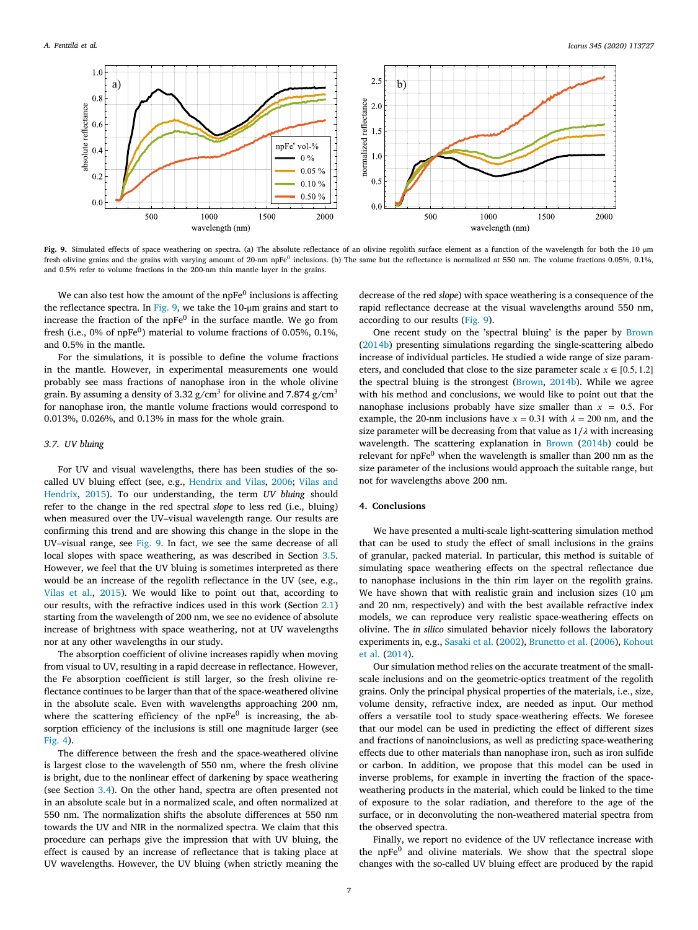

<span id="page-6-1"></span>**Fig. 9.** Simulated effects of space weathering on spectra. (a) The absolute reflectance of an olivine regolith surface element as a function of the wavelength for both the 10 μm fresh olivine grains and the grains with varying amount of 20-nm npFe<sup>0</sup> inclusions. (b) The same but the reflectance is normalized at 550 nm. The volume fractions 0.05%, 0.1%, and 0.5% refer to volume fractions in the 200-nm thin mantle layer in the grains.

We can also test how the amount of the npFe $^0$  inclusions is affecting the reflectance spectra. In [Fig.](#page-6-1) [9](#page-6-1), we take the 10-μm grains and start to increase the fraction of the  $n$ p $Fe<sup>0</sup>$  in the surface mantle. We go from fresh (i.e.,  $0\%$  of npFe $^0$ ) material to volume fractions of 0.05%, 0.1%, and 0.5% in the mantle.

For the simulations, it is possible to define the volume fractions in the mantle. However, in experimental measurements one would probably see mass fractions of nanophase iron in the whole olivine grain. By assuming a density of 3.32 g/cm $^3$  for olivine and 7.874 g/cm $^3$ for nanophase iron, the mantle volume fractions would correspond to 0.013%, 0.026%, and 0.13% in mass for the whole grain.

#### *3.7. UV bluing*

For UV and visual wavelengths, there has been studies of the socalled UV bluing effect (see, e.g., [Hendrix and Vilas](#page-7-33), [2006;](#page-7-33) [Vilas and](#page-7-34) [Hendrix](#page-7-34), [2015\)](#page-7-34). To our understanding, the term *UV bluing* should refer to the change in the red spectral *slope* to less red (i.e., bluing) when measured over the UV–visual wavelength range. Our results are confirming this trend and are showing this change in the slope in the UV–visual range, see [Fig.](#page-6-1) [9](#page-6-1). In fact, we see the same decrease of all local slopes with space weathering, as was described in Section [3.5](#page-5-2). However, we feel that the UV bluing is sometimes interpreted as there would be an increase of the regolith reflectance in the UV (see, e.g., [Vilas et al.,](#page-7-35) [2015](#page-7-35)). We would like to point out that, according to our results, with the refractive indices used in this work (Section [2.1\)](#page-1-5) starting from the wavelength of 200 nm, we see no evidence of absolute increase of brightness with space weathering, not at UV wavelengths nor at any other wavelengths in our study.

The absorption coefficient of olivine increases rapidly when moving from visual to UV, resulting in a rapid decrease in reflectance. However, the Fe absorption coefficient is still larger, so the fresh olivine reflectance continues to be larger than that of the space-weathered olivine in the absolute scale. Even with wavelengths approaching 200 nm, where the scattering efficiency of the npFe<sup>0</sup> is increasing, the absorption efficiency of the inclusions is still one magnitude larger (see [Fig.](#page-2-2) [4\)](#page-2-2).

The difference between the fresh and the space-weathered olivine is largest close to the wavelength of 550 nm, where the fresh olivine is bright, due to the nonlinear effect of darkening by space weathering (see Section [3.4\)](#page-4-2). On the other hand, spectra are often presented not in an absolute scale but in a normalized scale, and often normalized at 550 nm. The normalization shifts the absolute differences at 550 nm towards the UV and NIR in the normalized spectra. We claim that this procedure can perhaps give the impression that with UV bluing, the effect is caused by an increase of reflectance that is taking place at UV wavelengths. However, the UV bluing (when strictly meaning the

decrease of the red *slope*) with space weathering is a consequence of the rapid reflectance decrease at the visual wavelengths around 550 nm, according to our results ([Fig.](#page-6-1) [9\)](#page-6-1).

One recent study on the 'spectral bluing' is the paper by [Brown](#page-7-36) ([2014b\)](#page-7-36) presenting simulations regarding the single-scattering albedo increase of individual particles. He studied a wide range of size parameters, and concluded that close to the size parameter scale  $x \in [0.5, 1.2]$ the spectral bluing is the strongest ([Brown,](#page-7-36) [2014b\)](#page-7-36). While we agree with his method and conclusions, we would like to point out that the nanophase inclusions probably have size smaller than  $x = 0.5$ . For example, the 20-nm inclusions have  $x = 0.31$  with  $\lambda = 200$  nm, and the size parameter will be decreasing from that value as  $1/\lambda$  with increasing wavelength. The scattering explanation in [Brown](#page-7-36) [\(2014b\)](#page-7-36) could be relevant for npFe<sup>0</sup> when the wavelength is smaller than 200 nm as the size parameter of the inclusions would approach the suitable range, but not for wavelengths above 200 nm.

# **4. Conclusions**

<span id="page-6-0"></span>We have presented a multi-scale light-scattering simulation method that can be used to study the effect of small inclusions in the grains of granular, packed material. In particular, this method is suitable of simulating space weathering effects on the spectral reflectance due to nanophase inclusions in the thin rim layer on the regolith grains. We have shown that with realistic grain and inclusion sizes (10 μm and 20 nm, respectively) and with the best available refractive index models, we can reproduce very realistic space-weathering effects on olivine. The *in silico* simulated behavior nicely follows the laboratory experiments in, e.g., [Sasaki et al.](#page-7-1) [\(2002](#page-7-1)), [Brunetto et al.](#page-7-4) ([2006\)](#page-7-4), [Kohout](#page-7-6) [et al.](#page-7-6) [\(2014](#page-7-6)).

Our simulation method relies on the accurate treatment of the smallscale inclusions and on the geometric-optics treatment of the regolith grains. Only the principal physical properties of the materials, i.e., size, volume density, refractive index, are needed as input. Our method offers a versatile tool to study space-weathering effects. We foresee that our model can be used in predicting the effect of different sizes and fractions of nanoinclusions, as well as predicting space-weathering effects due to other materials than nanophase iron, such as iron sulfide or carbon. In addition, we propose that this model can be used in inverse problems, for example in inverting the fraction of the spaceweathering products in the material, which could be linked to the time of exposure to the solar radiation, and therefore to the age of the surface, or in deconvoluting the non-weathered material spectra from the observed spectra.

Finally, we report no evidence of the UV reflectance increase with the npFe<sup>0</sup> and olivine materials. We show that the spectral slope changes with the so-called UV bluing effect are produced by the rapid